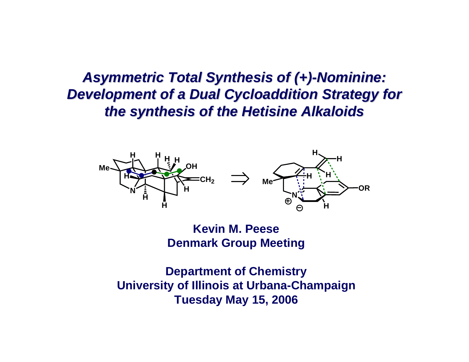#### *Asymmetric Total Synthesis of ( Asymmetric Total Synthesis of (+) -Nominine: Nominine:* **Development of a Dual Cycloaddition Strategy for** *the synthesis of the Hetisine Alkaloids the synthesis of the Hetisine Alkaloids*



**Kevin M. PeeseDenmark Group Meeting**

**Department of Chemistry University of Illinois at Urbana-Champaign Tuesday May 15, 2006**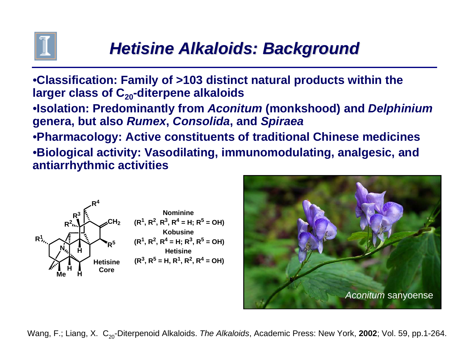

# *Hetisine Alkaloids: Background Hetisine Alkaloids: Background*

•**Classification: Family of >103 distinct natural products within the**  larger class of C<sub>20</sub>-diterpene alkaloids

•**Isolation: Predominantly from** *Aconitum* **(monkshood) and** *Delphinium* **genera, but also** *Rumex***,** *Consolida***, and** *Spiraea*

•**Pharmacology: Active constituents of traditional Chinese medicines** •**Biological activity: Vasodilating, immunomodulating, analgesic, and antiarrhythmic activities**





Wang, F.; Liang, X. C<sub>20</sub>-Diterpenoid Alkaloids. *The Alkaloids*, Academic Press: New York, 2002; Vol. 59, pp.1-264.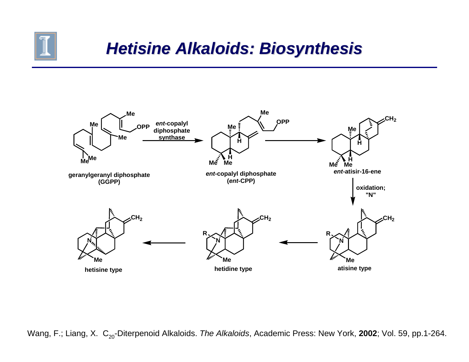

#### *Hetisine Alkaloids: Biosynthesis Hetisine Alkaloids: Biosynthesis*



Wang, F.; Liang, X. C<sub>20</sub>-Diterpenoid Alkaloids. *The Alkaloids*, Academic Press: New York, 2002; Vol. 59, pp.1-264.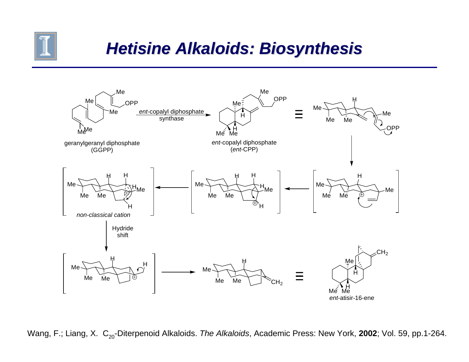

# *Hetisine Alkaloids: Biosynthesis Hetisine Alkaloids: Biosynthesis*



Wang, F.; Liang, X. C<sub>20</sub>-Diterpenoid Alkaloids. *The Alkaloids*, Academic Press: New York, 2002; Vol. 59, pp.1-264.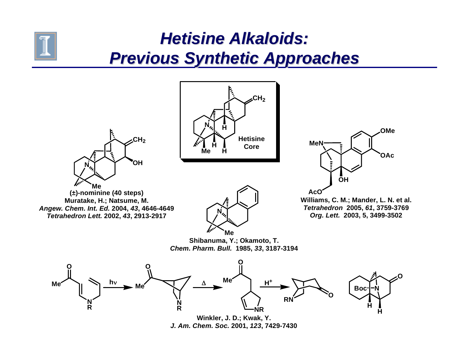## *Hetisine Alkaloids: Hetisine Alkaloids: Previous Synthetic Approaches Previous Synthetic Approaches*

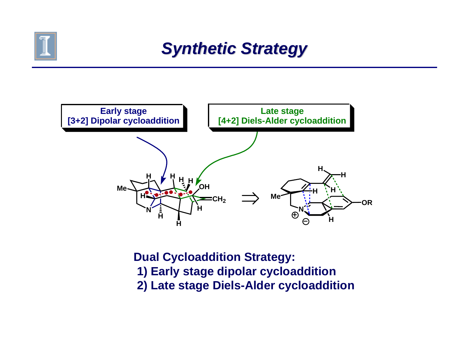

#### *Synthetic Strategy Synthetic Strategy*



**Dual Cycloaddition Strategy: 1) Early stage dipolar cycloaddition 2) Late stage Diels-Alder cycloaddition**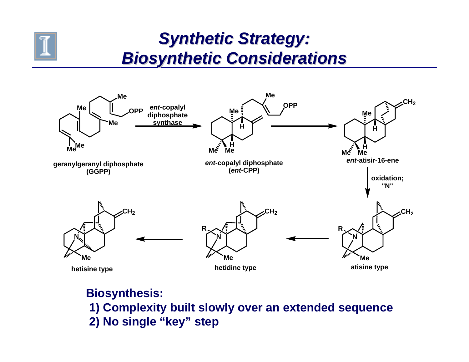

#### *Synthetic Strategy: Synthetic Strategy: Biosynthetic Considerations Biosynthetic Considerations*



#### **Biosynthesis: 1) Complexity built slowly over an extended sequence 2) No single "key" step**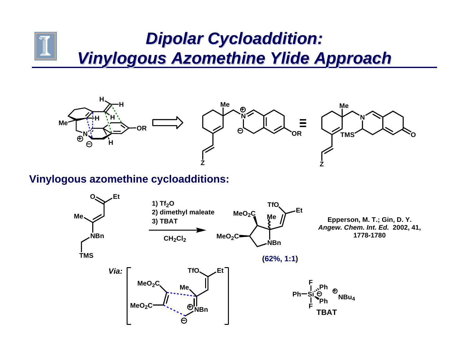#### *Dipolar Cycloaddition: Dipolar Cycloaddition: Vinylogous Azomethine Ylide Approach Vinylogous Azomethine Ylide Approach*



#### **Vinylogous azomethine cycloadditions:**

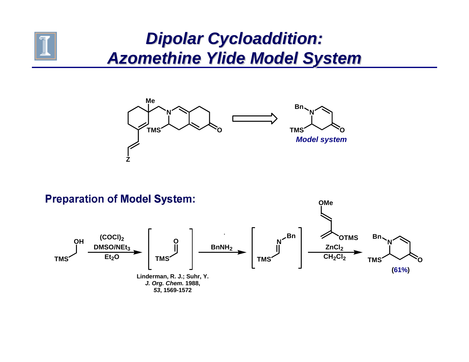

#### *Dipolar Cycloaddition: Dipolar Cycloaddition: Azomethine Ylide Model System Azomethine Ylide Model System*



**Preparation of Model System: OMe Bn(COCl)2OTMSBnOHONN**ZnCl<sub>2</sub> **DMSO/NEt<sub>3</sub> BnNH2**CH<sub>2</sub>Cl<sub>2</sub> **Et<sub>2</sub>O TMSTMSTMSTMS O(61%) Linderman, R. J.; Suhr, Y.** *J. Org. Chem.* **1988,**  *53***, 1569-1572**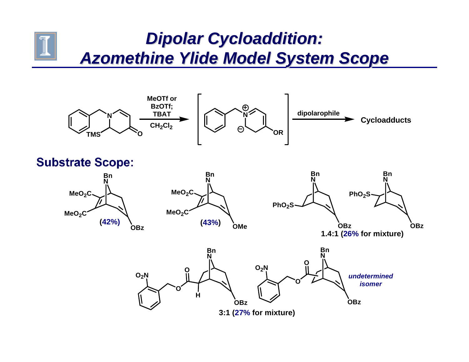#### *Dipolar Cycloaddition: Dipolar Cycloaddition: Azomethine Ylide Model System Scope Azomethine Ylide Model System Scope*



**Substrate Scope:** 







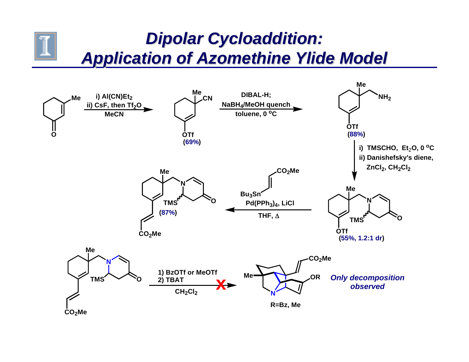#### *Dipolar Cycloaddition: Dipolar Cycloaddition: Application of Azomethine Ylide Model Application of Azomethine Ylide Model*

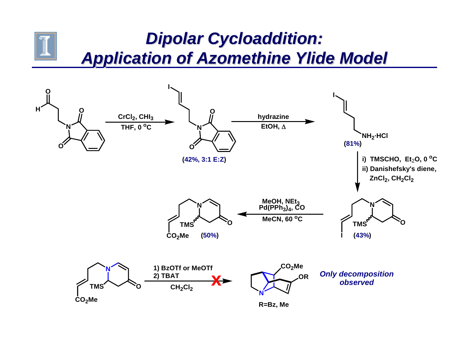#### *Dipolar Cycloaddition: Dipolar Cycloaddition: Application of Azomethine Ylide Model Application of Azomethine Ylide Model*

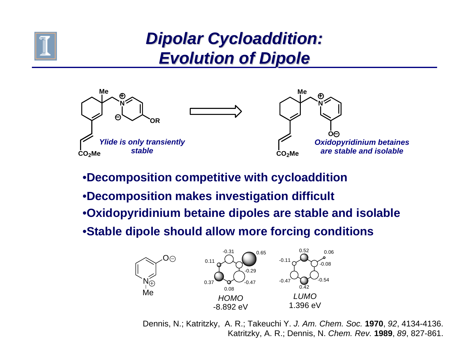

# *Dipolar Cycloaddition: Dipolar Cycloaddition: Evolution of Dipole Evolution of Dipole*



- •**Decomposition competitive with cycloaddition**
- •**Decomposition makes investigation difficult**
- •**Oxidopyridinium betaine dipoles are stable and isolable**
- •**Stable dipole should allow more forcing conditions**



Dennis, N.; Katritzky, A. R.; Takeuchi Y. *J. Am. Chem. Soc.* **1970**, *92*, 4134-4136. Katritzky, A. R.; Dennis, N. *Chem. Rev.* **1989**, *89*, 827-861.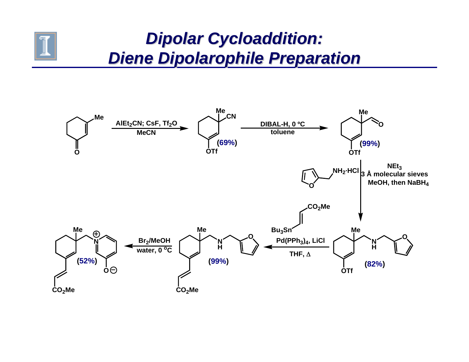

### *Dipolar Cycloaddition: Dipolar Cycloaddition: Diene Dipolarophile Preparation Diene Dipolarophile Preparation*

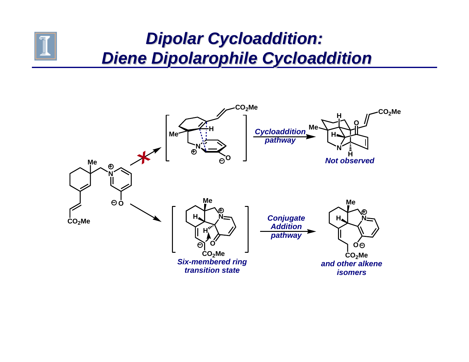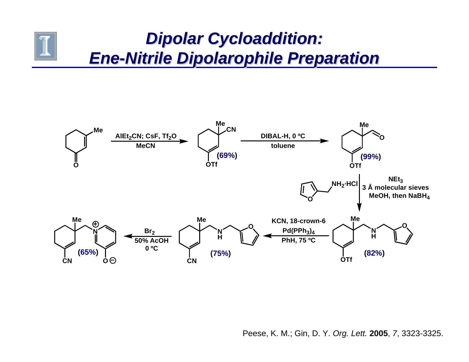# *Dipolar Cycloaddition: Dipolar Cycloaddition: Ene -Nitrile Dipolarophile Preparation Nitrile Dipolarophile Preparation*

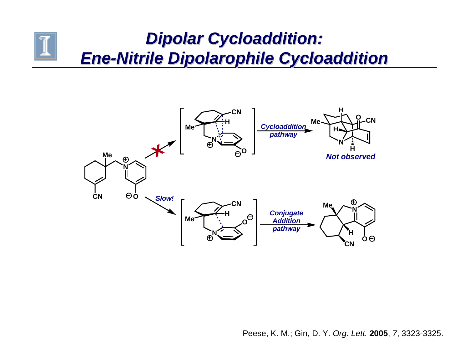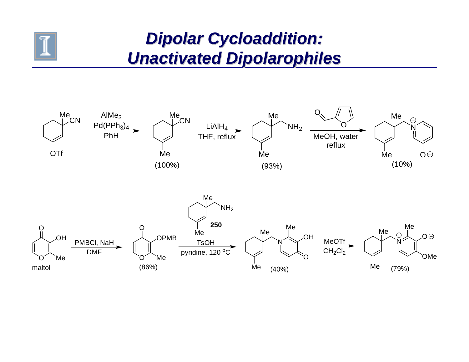

#### *Dipolar Cycloaddition: Dipolar Cycloaddition: Unactivated Dipolarophiles Unactivated Dipolarophiles*

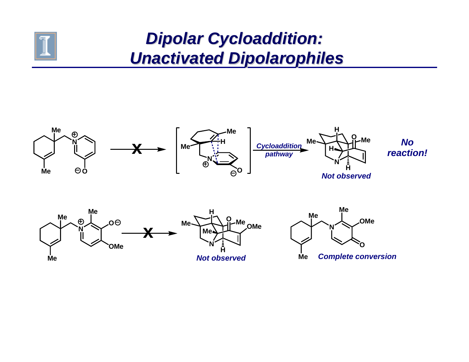

# *Dipolar Cycloaddition: Dipolar Cycloaddition: Unactivated Dipolarophiles Unactivated Dipolarophiles*

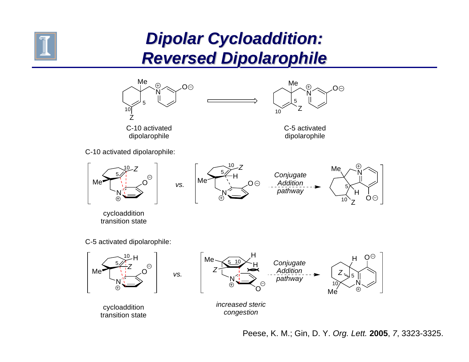

## *Dipolar Cycloaddition: Dipolar Cycloaddition: Reversed Dipolarophile Reversed Dipolarophile*

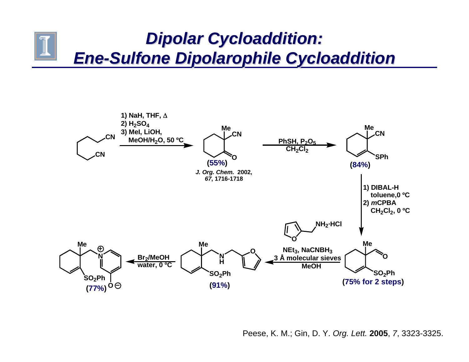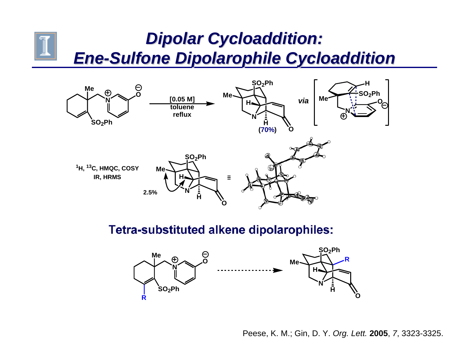

**Tetra-substituted alkene dipolarophiles:** 

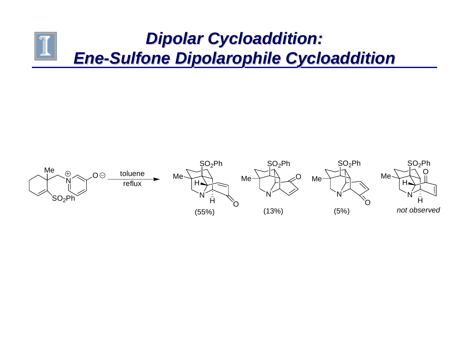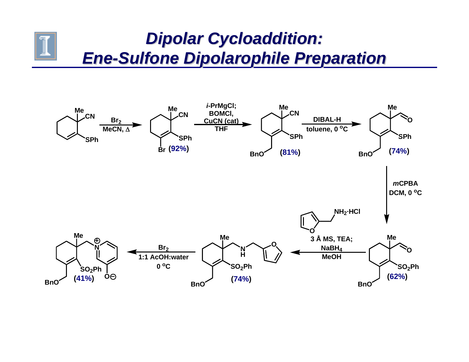# *Dipolar Cycloaddition: Dipolar Cycloaddition: Ene -Sulfone Dipolarophile Preparation Sulfone Dipolarophile Preparation*

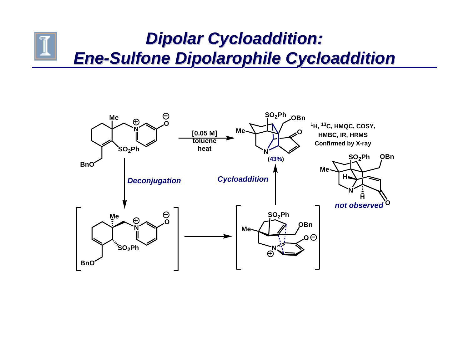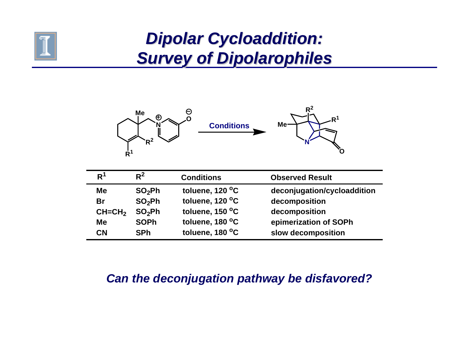

## *Dipolar Cycloaddition: Dipolar Cycloaddition: Survey of Dipolarophiles Survey of Dipolarophiles*



| R <sup>1</sup> | $R^2$              | <b>Conditions</b> | <b>Observed Result</b>      |
|----------------|--------------------|-------------------|-----------------------------|
| <b>Me</b>      | SO <sub>2</sub> Ph | toluene, 120 °C   | deconjugation/cycloaddition |
| Br             | SO <sub>2</sub> Ph | toluene, 120 °C   | decomposition               |
| $CH=CH2$       | SO <sub>2</sub> Ph | toluene, 150 °C   | decomposition               |
| Me             | <b>SOPh</b>        | toluene, 180 °C   | epimerization of SOPh       |
| <b>CN</b>      | <b>SPh</b>         | toluene, 180 °C   | slow decomposition          |

#### *Can the deconjugation pathway be disfavored?*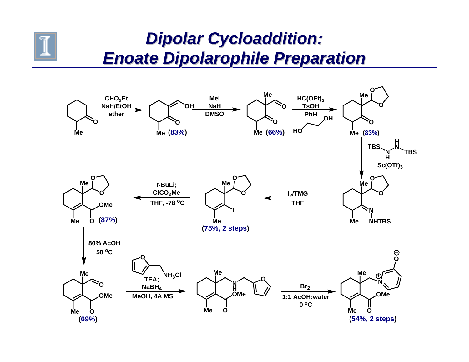

#### *Dipolar Cycloaddition: Dipolar Cycloaddition: Enoate Dipolarophile Preparation Enoate Dipolarophile Preparation*

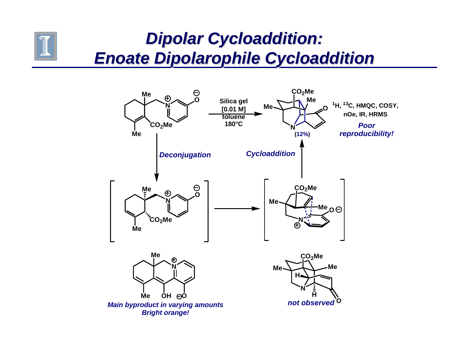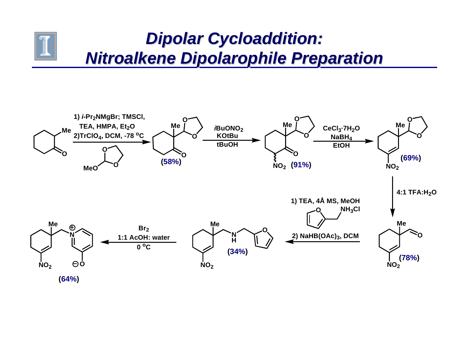

# *Dipolar Cycloaddition: Dipolar Cycloaddition: Nitroalkene Nitroalkene Dipolarophile Preparation Dipolarophile Preparation*

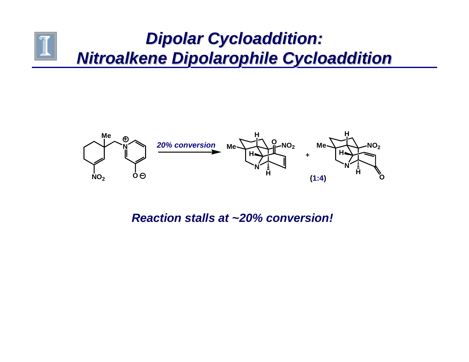# *Dipolar Cycloaddition: Dipolar Cycloaddition: Nitroalkene Nitroalkene Dipolarophile Cycloaddition Dipolarophile Cycloaddition*



*Reaction stalls at ~20% conversion!*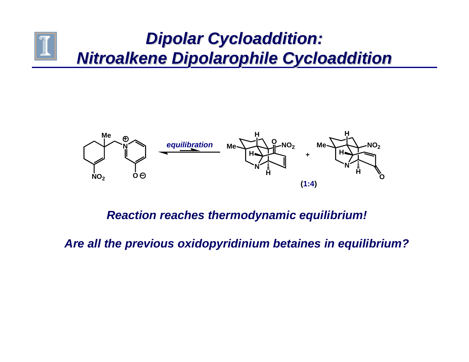# *Dipolar Cycloaddition: Dipolar Cycloaddition: Nitroalkene Nitroalkene Dipolarophile Cycloaddition Dipolarophile Cycloaddition*



#### *Reaction reaches thermodynamic equilibrium!*

*Are all the previous oxidopyridinium betaines in equilibrium?*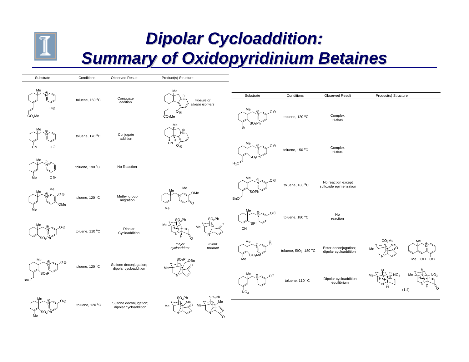

## *Dipolar Cycloaddition: Dipolar Cycloaddition: Summary of Oxidopyridinium Betaines Summary of Oxidopyridinium Betaines*

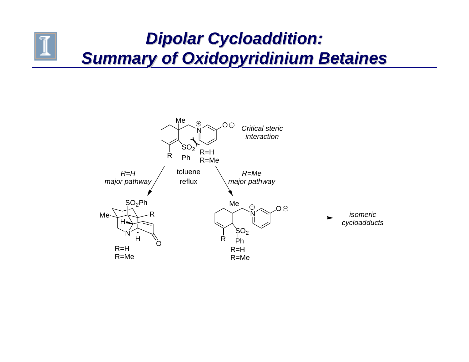# *Dipolar Cycloaddition: Dipolar Cycloaddition: Summary of Oxidopyridinium Betaines Summary of Oxidopyridinium Betaines*

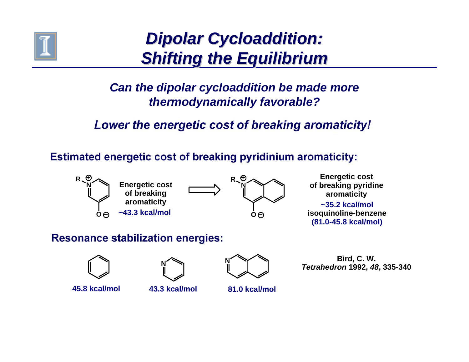

# *Dipolar Cycloaddition: Dipolar Cycloaddition: Shifting the Equilibrium Shifting the Equilibrium*

#### *Can the dipolar cycloaddition be made more thermodynamically favorable?*

#### Lower the energetic cost of breaking aromaticity!

**Estimated energetic cost of breaking pyridinium aromaticity:** 



#### **Resonance stabilization energies:**







**Bird, C. W.**  *Tetrahedron* **1992,** *48***, 335-340**

**~35.2 kcal/molisoquinoline-benzene (81.0-45.8 kcal/mol)**

**Energetic cost of breaking pyridine aromaticity**

**45.8 kcal/mol**

**43.3 kcal/mol**

**81.0 kcal/mol**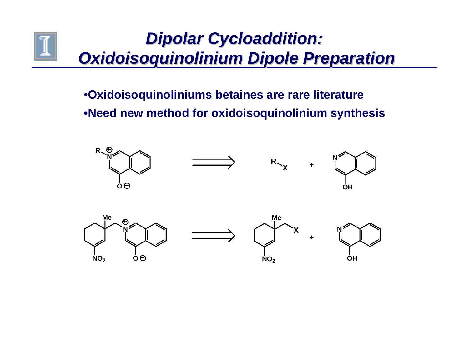# *Dipolar Cycloaddition: Dipolar Cycloaddition: Oxidoisoquinolinium Dipole Preparation Oxidoisoquinolinium Dipole Preparation*

•**Oxidoisoquinoliniums betaines are rare literature** •**Need new method for oxidoisoquinolinium synthesis**

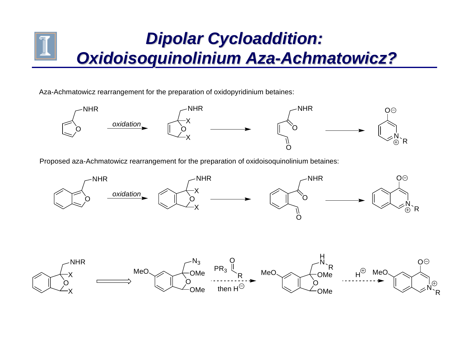# *Dipolar Cycloaddition: Dipolar Cycloaddition: Oxidoisoquinolinium Aza Oxidoisoquinolinium Aza -Achmatowicz? Achmatowicz?*

Aza-Achmatowicz rearrangement for the preparation of oxidopyridinium betaines:



Proposed aza-Achmatowicz rearrangement for the preparation of oxidoisoquinolinium betaines:

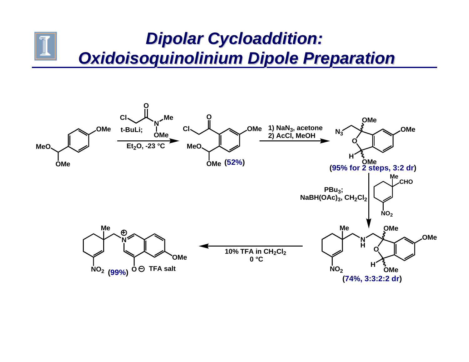# *Dipolar Cycloaddition: Dipolar Cycloaddition: Oxidoisoquinolinium Dipole Preparation Oxidoisoquinolinium Dipole Preparation*

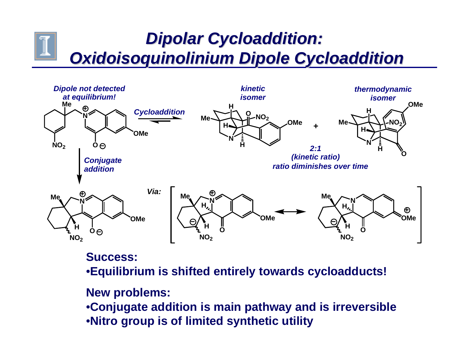# *Dipolar Cycloaddition: Dipolar Cycloaddition: Oxidoisoquinolinium Dipole Cycloaddition Oxidoisoquinolinium Dipole Cycloaddition*



#### **Success:**

•**Equilibrium is shifted entirely towards cycloadducts!**

**New problems:**

•**Conjugate addition is main pathway and is irreversible** •**Nitro group is of limited synthetic utility**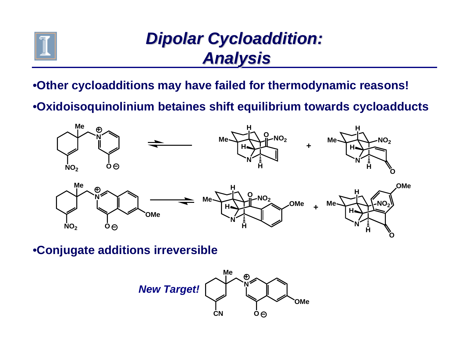

# *Dipolar Cycloaddition: Dipolar Cycloaddition: Analysis Analysis*

•**Other cycloadditions may have failed for thermodynamic reasons!**

•**Oxidoisoquinolinium betaines shift equilibrium towards cycloadducts**



•**Conjugate additions irreversible**

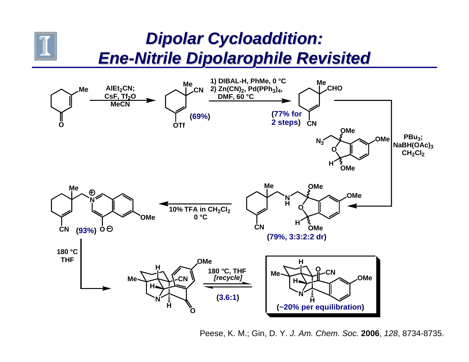

## *Dipolar Cycloaddition: Dipolar Cycloaddition: Ene -Nitrile Dipolarophile Revisited Nitrile Dipolarophile Revisited*



Peese, K. M.; Gin, D. Y. *J. Am. Chem. Soc.* **2006**, *128*, 8734-8735.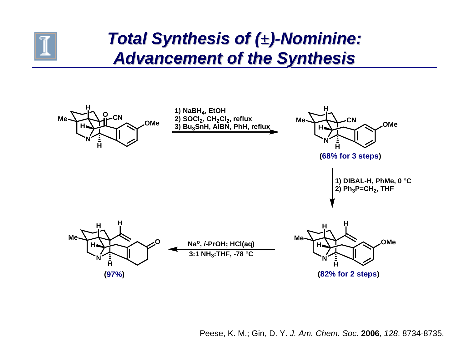

## *Total Synthesis of ( Total Synthesis of (±) -Nominine: Nominine: Advancement of the Synthesis Advancement of the Synthesis*

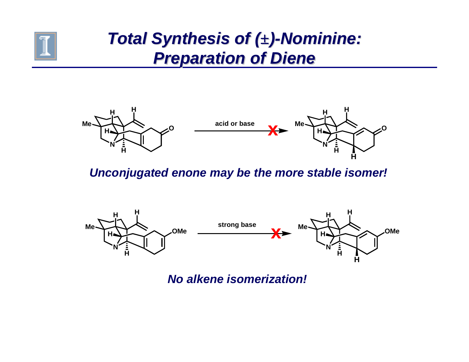

# *Total Synthesis of ( Total Synthesis of (±) -Nominine: Nominine: Preparation of Diene Preparation of Diene*



*Unconjugated enone may be the more stable isomer!*



*No alkene isomerization!*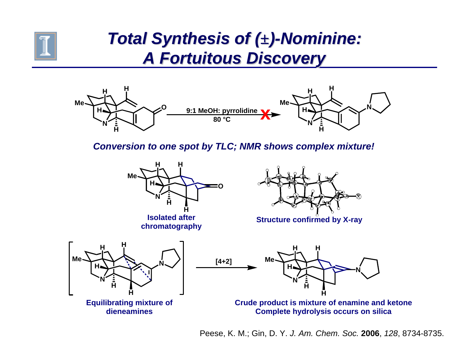

## *Total Synthesis of ( Total Synthesis of (±) -Nominine: Nominine: A Fortuitous Discovery A Fortuitous Discovery*



*Conversion to one spot by TLC; NMR shows complex mixture!*



**Isolated after** 



**chromatography chromatography Chromatography** 



Peese, K. M.; Gin, D. Y. *J. Am. Chem. Soc.* **2006**, *128*, 8734-8735.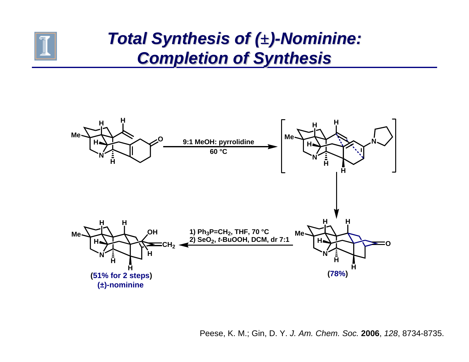

## *Total Synthesis of ( Total Synthesis of (±) -Nominine: Nominine: Completion of Synthesis Completion of Synthesis*



Peese, K. M.; Gin, D. Y. *J. Am. Chem. Soc.* **2006**, *128*, 8734-8735.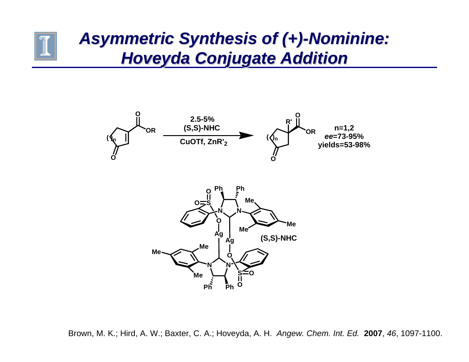## *Asymmetric Synthesis of ( Asymmetric Synthesis of (+) -Nominine: Nominine: Hoveyda Conjugate Addition Hoveyda Conjugate Addition*



Brown, M. K.; Hird, A. W.; Baxter, C. A.; Hoveyda, A. H. *Angew. Chem. Int. Ed.* **2007**, *46*, 1097-1100.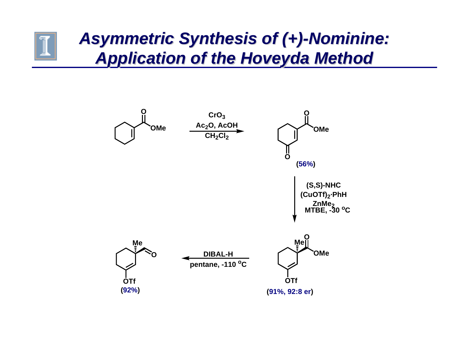## *Asymmetric Synthesis of ( Asymmetric Synthesis of (+) -Nominine: Nominine: Application of the Hoveyda Method Application of the Hoveyda Method*

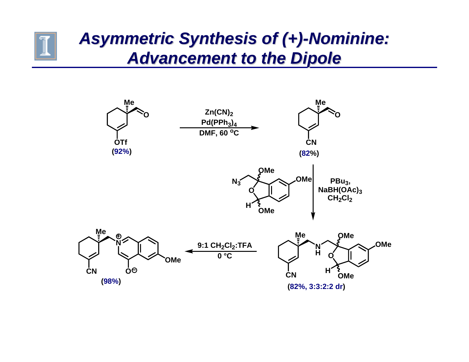## *Asymmetric Synthesis of ( Asymmetric Synthesis of (+) -Nominine: Nominine: Advancement to the Dipole Advancement to the Dipole*

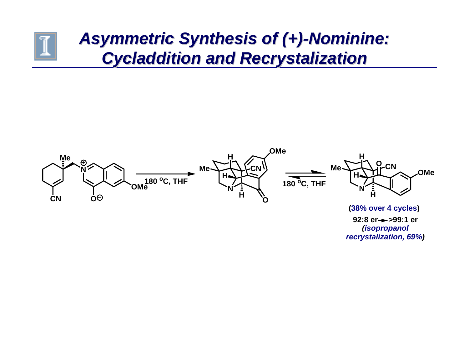## *Asymmetric Synthesis of ( Asymmetric Synthesis of (+) -Nominine: Nominine:* **Cycladdition and Recrystalization**



**(38% over 4 cycles)** 92:8 er->>99:1 er *(isopropanol recrystalization, 69%)*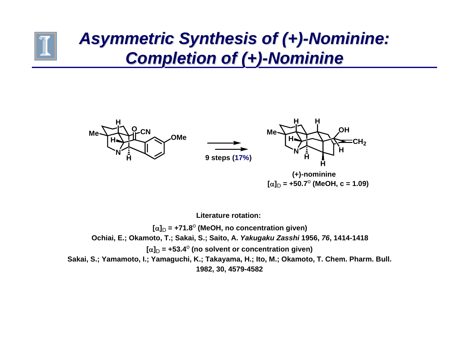# *Asymmetric Synthesis of ( Asymmetric Synthesis of (+) -Nominine: Nominine: Completion of ( Completion of (+) -Nominine Nominine*



**Literature rotation:**

**[**α]<sub>D</sub> = +71.8<sup>o</sup> (MeOH, no concentration given) **Ochiai, E.; Okamoto, T.; Sakai, S.; Saito, A.** *Yakugaku Zasshi* **1956,** *76***, 1414-1418 [**α]<sub>D</sub> = +53.4<sup>o</sup> (no solvent or concentration given) **Sakai, S.; Yamamoto, I.; Yamaguchi, K.; Takayama, H.; Ito, M.; Okamoto, T. Chem. Pharm. Bull. 1982, 30, 4579-4582**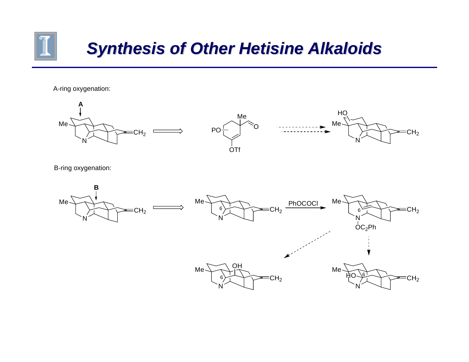

# *Synthesis of Other Hetisine Alkaloids Synthesis of Other Hetisine Alkaloids*

A-ring oxygenation:



B-ring oxygenation:

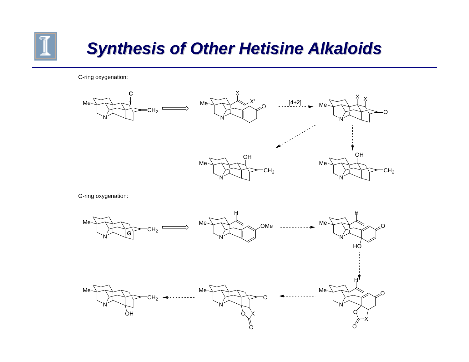

# *Synthesis of Other Hetisine Alkaloids Synthesis of Other Hetisine Alkaloids*

C-ring oxygenation:

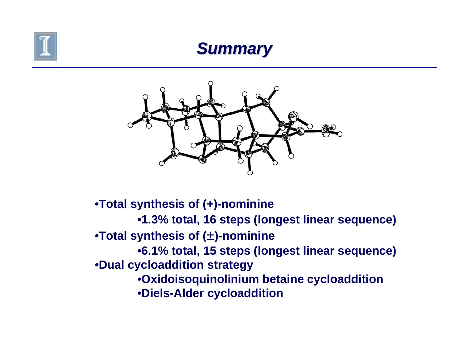

#### *Summary Summary*



•**Total synthesis of (+)-nominine** •**1.3% total, 16 steps (longest linear sequence)** •**Total synthesis of (±)-nominine** •**6.1% total, 15 steps (longest linear sequence)** •**Dual cycloaddition strategy** •**Oxidoisoquinolinium betaine cycloaddition** •**Diels-Alder cycloaddition**